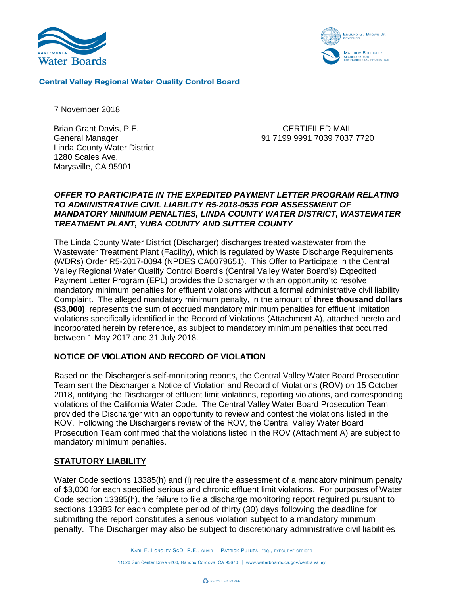



**Central Valley Regional Water Quality Control Board** 

7 November 2018

Brian Grant Davis, P.E. General Manager Linda County Water District 1280 Scales Ave. Marysville, CA 95901

CERTIFILED MAIL 91 7199 9991 7039 7037 7720

## *OFFER TO PARTICIPATE IN THE EXPEDITED PAYMENT LETTER PROGRAM RELATING TO ADMINISTRATIVE CIVIL LIABILITY R5-2018-0535 FOR ASSESSMENT OF MANDATORY MINIMUM PENALTIES, LINDA COUNTY WATER DISTRICT, WASTEWATER TREATMENT PLANT, YUBA COUNTY AND SUTTER COUNTY*

The Linda County Water District (Discharger) discharges treated wastewater from the Wastewater Treatment Plant (Facility), which is regulated by Waste Discharge Requirements (WDRs) Order R5-2017-0094 (NPDES CA0079651). This Offer to Participate in the Central Valley Regional Water Quality Control Board's (Central Valley Water Board's) Expedited Payment Letter Program (EPL) provides the Discharger with an opportunity to resolve mandatory minimum penalties for effluent violations without a formal administrative civil liability Complaint. The alleged mandatory minimum penalty, in the amount of **three thousand dollars (\$3,000)**, represents the sum of accrued mandatory minimum penalties for effluent limitation violations specifically identified in the Record of Violations (Attachment A), attached hereto and incorporated herein by reference, as subject to mandatory minimum penalties that occurred between 1 May 2017 and 31 July 2018.

# **NOTICE OF VIOLATION AND RECORD OF VIOLATION**

Based on the Discharger's self-monitoring reports, the Central Valley Water Board Prosecution Team sent the Discharger a Notice of Violation and Record of Violations (ROV) on 15 October 2018, notifying the Discharger of effluent limit violations, reporting violations, and corresponding violations of the California Water Code. The Central Valley Water Board Prosecution Team provided the Discharger with an opportunity to review and contest the violations listed in the ROV. Following the Discharger's review of the ROV, the Central Valley Water Board Prosecution Team confirmed that the violations listed in the ROV (Attachment A) are subject to mandatory minimum penalties.

# **STATUTORY LIABILITY**

Water Code sections 13385(h) and (i) require the assessment of a mandatory minimum penalty of \$3,000 for each specified serious and chronic effluent limit violations. For purposes of Water Code section 13385(h), the failure to file a discharge monitoring report required pursuant to sections 13383 for each complete period of thirty (30) days following the deadline for submitting the report constitutes a serious violation subject to a mandatory minimum penalty. The Discharger may also be subject to discretionary administrative civil liabilities

KARL E. LONGLEY SCD, P.E., CHAIR | PATRICK PULUPA, ESQ., EXECUTIVE OFFICER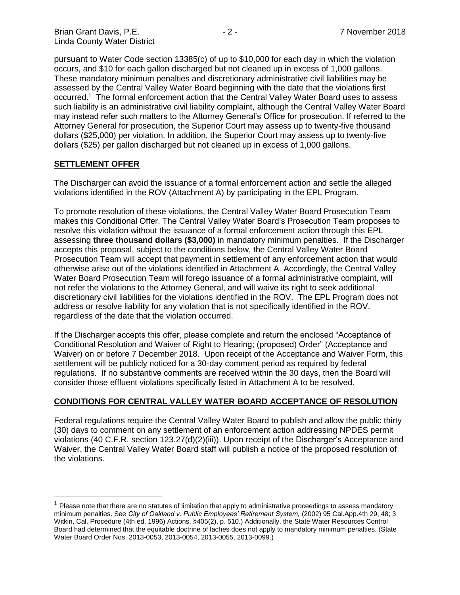pursuant to Water Code section 13385(c) of up to \$10,000 for each day in which the violation occurs, and \$10 for each gallon discharged but not cleaned up in excess of 1,000 gallons. These mandatory minimum penalties and discretionary administrative civil liabilities may be assessed by the Central Valley Water Board beginning with the date that the violations first occurred.<sup>1</sup> The formal enforcement action that the Central Valley Water Board uses to assess such liability is an administrative civil liability complaint, although the Central Valley Water Board may instead refer such matters to the Attorney General's Office for prosecution. If referred to the Attorney General for prosecution, the Superior Court may assess up to twenty-five thousand dollars (\$25,000) per violation. In addition, the Superior Court may assess up to twenty-five dollars (\$25) per gallon discharged but not cleaned up in excess of 1,000 gallons.

#### **SETTLEMENT OFFER**

 $\overline{a}$ 

The Discharger can avoid the issuance of a formal enforcement action and settle the alleged violations identified in the ROV (Attachment A) by participating in the EPL Program.

To promote resolution of these violations, the Central Valley Water Board Prosecution Team makes this Conditional Offer. The Central Valley Water Board's Prosecution Team proposes to resolve this violation without the issuance of a formal enforcement action through this EPL assessing **three thousand dollars (\$3,000)** in mandatory minimum penalties. If the Discharger accepts this proposal, subject to the conditions below, the Central Valley Water Board Prosecution Team will accept that payment in settlement of any enforcement action that would otherwise arise out of the violations identified in Attachment A. Accordingly, the Central Valley Water Board Prosecution Team will forego issuance of a formal administrative complaint, will not refer the violations to the Attorney General, and will waive its right to seek additional discretionary civil liabilities for the violations identified in the ROV. The EPL Program does not address or resolve liability for any violation that is not specifically identified in the ROV, regardless of the date that the violation occurred.

If the Discharger accepts this offer, please complete and return the enclosed "Acceptance of Conditional Resolution and Waiver of Right to Hearing; (proposed) Order" (Acceptance and Waiver) on or before 7 December 2018. Upon receipt of the Acceptance and Waiver Form, this settlement will be publicly noticed for a 30-day comment period as required by federal regulations. If no substantive comments are received within the 30 days, then the Board will consider those effluent violations specifically listed in Attachment A to be resolved.

#### **CONDITIONS FOR CENTRAL VALLEY WATER BOARD ACCEPTANCE OF RESOLUTION**

Federal regulations require the Central Valley Water Board to publish and allow the public thirty (30) days to comment on any settlement of an enforcement action addressing NPDES permit violations (40 C.F.R. section 123.27(d)(2)(iii)). Upon receipt of the Discharger's Acceptance and Waiver, the Central Valley Water Board staff will publish a notice of the proposed resolution of the violations.

 $<sup>1</sup>$  Please note that there are no statutes of limitation that apply to administrative proceedings to assess mandatory</sup> minimum penalties. See *City of Oakland v. Public Employees' Retirement System,* (2002) 95 Cal.App.4th 29, 48; 3 Witkin, Cal. Procedure (4th ed. 1996) Actions, §405(2), p. 510.) Additionally, the State Water Resources Control Board had determined that the equitable doctrine of laches does not apply to mandatory minimum penalties. (State Water Board Order Nos. 2013-0053, 2013-0054, 2013-0055, 2013-0099.)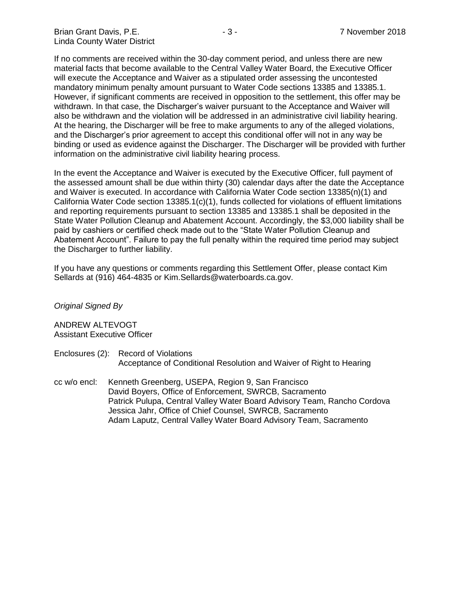If no comments are received within the 30-day comment period, and unless there are new material facts that become available to the Central Valley Water Board, the Executive Officer will execute the Acceptance and Waiver as a stipulated order assessing the uncontested mandatory minimum penalty amount pursuant to Water Code sections 13385 and 13385.1. However, if significant comments are received in opposition to the settlement, this offer may be withdrawn. In that case, the Discharger's waiver pursuant to the Acceptance and Waiver will also be withdrawn and the violation will be addressed in an administrative civil liability hearing. At the hearing, the Discharger will be free to make arguments to any of the alleged violations, and the Discharger's prior agreement to accept this conditional offer will not in any way be binding or used as evidence against the Discharger. The Discharger will be provided with further information on the administrative civil liability hearing process.

In the event the Acceptance and Waiver is executed by the Executive Officer, full payment of the assessed amount shall be due within thirty (30) calendar days after the date the Acceptance and Waiver is executed. In accordance with California Water Code section 13385(n)(1) and California Water Code section 13385.1(c)(1), funds collected for violations of effluent limitations and reporting requirements pursuant to section 13385 and 13385.1 shall be deposited in the State Water Pollution Cleanup and Abatement Account. Accordingly, the \$3,000 liability shall be paid by cashiers or certified check made out to the "State Water Pollution Cleanup and Abatement Account". Failure to pay the full penalty within the required time period may subject the Discharger to further liability.

If you have any questions or comments regarding this Settlement Offer, please contact Kim Sellards at (916) 464-4835 or Kim.Sellards@waterboards.ca.gov.

*Original Signed By*

ANDREW ALTEVOGT Assistant Executive Officer

- Enclosures (2): Record of Violations Acceptance of Conditional Resolution and Waiver of Right to Hearing
- cc w/o encl: Kenneth Greenberg, USEPA, Region 9, San Francisco David Boyers, Office of Enforcement, SWRCB, Sacramento Patrick Pulupa, Central Valley Water Board Advisory Team, Rancho Cordova Jessica Jahr, Office of Chief Counsel, SWRCB, Sacramento Adam Laputz, Central Valley Water Board Advisory Team, Sacramento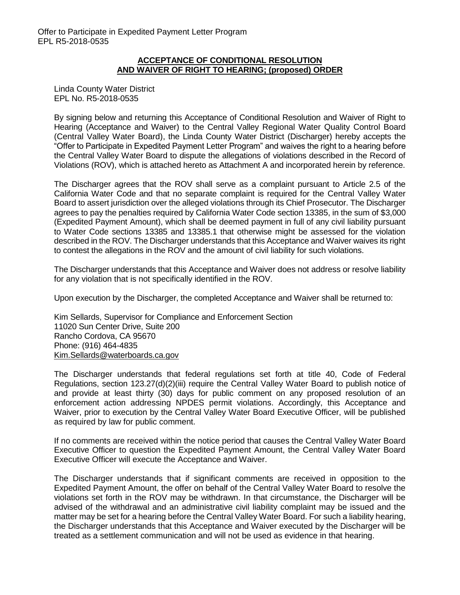#### **ACCEPTANCE OF CONDITIONAL RESOLUTION AND WAIVER OF RIGHT TO HEARING; (proposed) ORDER**

Linda County Water District EPL No. R5-2018-0535

By signing below and returning this Acceptance of Conditional Resolution and Waiver of Right to Hearing (Acceptance and Waiver) to the Central Valley Regional Water Quality Control Board (Central Valley Water Board), the Linda County Water District (Discharger) hereby accepts the "Offer to Participate in Expedited Payment Letter Program" and waives the right to a hearing before the Central Valley Water Board to dispute the allegations of violations described in the Record of Violations (ROV), which is attached hereto as Attachment A and incorporated herein by reference.

The Discharger agrees that the ROV shall serve as a complaint pursuant to Article 2.5 of the California Water Code and that no separate complaint is required for the Central Valley Water Board to assert jurisdiction over the alleged violations through its Chief Prosecutor. The Discharger agrees to pay the penalties required by California Water Code section 13385, in the sum of \$3,000 (Expedited Payment Amount), which shall be deemed payment in full of any civil liability pursuant to Water Code sections 13385 and 13385.1 that otherwise might be assessed for the violation described in the ROV. The Discharger understands that this Acceptance and Waiver waives its right to contest the allegations in the ROV and the amount of civil liability for such violations.

The Discharger understands that this Acceptance and Waiver does not address or resolve liability for any violation that is not specifically identified in the ROV.

Upon execution by the Discharger, the completed Acceptance and Waiver shall be returned to:

Kim Sellards, Supervisor for Compliance and Enforcement Section 11020 Sun Center Drive, Suite 200 Rancho Cordova, CA 95670 Phone: (916) 464-4835 [Kim.Sellards@waterboards.ca.gov](mailto:Kim.Sellards@waterboards.ca.gov)

The Discharger understands that federal regulations set forth at title 40, Code of Federal Regulations, section 123.27(d)(2)(iii) require the Central Valley Water Board to publish notice of and provide at least thirty (30) days for public comment on any proposed resolution of an enforcement action addressing NPDES permit violations. Accordingly, this Acceptance and Waiver, prior to execution by the Central Valley Water Board Executive Officer, will be published as required by law for public comment.

If no comments are received within the notice period that causes the Central Valley Water Board Executive Officer to question the Expedited Payment Amount, the Central Valley Water Board Executive Officer will execute the Acceptance and Waiver.

The Discharger understands that if significant comments are received in opposition to the Expedited Payment Amount, the offer on behalf of the Central Valley Water Board to resolve the violations set forth in the ROV may be withdrawn. In that circumstance, the Discharger will be advised of the withdrawal and an administrative civil liability complaint may be issued and the matter may be set for a hearing before the Central Valley Water Board. For such a liability hearing, the Discharger understands that this Acceptance and Waiver executed by the Discharger will be treated as a settlement communication and will not be used as evidence in that hearing.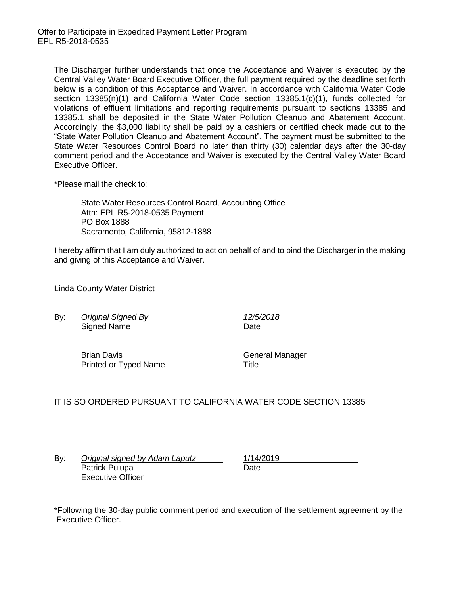The Discharger further understands that once the Acceptance and Waiver is executed by the Central Valley Water Board Executive Officer, the full payment required by the deadline set forth below is a condition of this Acceptance and Waiver. In accordance with California Water Code section 13385(n)(1) and California Water Code section 13385.1(c)(1), funds collected for violations of effluent limitations and reporting requirements pursuant to sections 13385 and 13385.1 shall be deposited in the State Water Pollution Cleanup and Abatement Account. Accordingly, the \$3,000 liability shall be paid by a cashiers or certified check made out to the "State Water Pollution Cleanup and Abatement Account". The payment must be submitted to the State Water Resources Control Board no later than thirty (30) calendar days after the 30-day comment period and the Acceptance and Waiver is executed by the Central Valley Water Board Executive Officer.

\*Please mail the check to:

State Water Resources Control Board, Accounting Office Attn: EPL R5-2018-0535 Payment PO Box 1888 Sacramento, California, 95812-1888

I hereby affirm that I am duly authorized to act on behalf of and to bind the Discharger in the making and giving of this Acceptance and Waiver.

Linda County Water District

By: *Original Signed By 12/5/2018* Signed Name Date

Brian Davis **General Manager** Printed or Typed Name Title

IT IS SO ORDERED PURSUANT TO CALIFORNIA WATER CODE SECTION 13385

By: *Original signed by Adam Laputz* 1/14/2019 Patrick Pulupa Date Executive Officer

\*Following the 30-day public comment period and execution of the settlement agreement by the Executive Officer.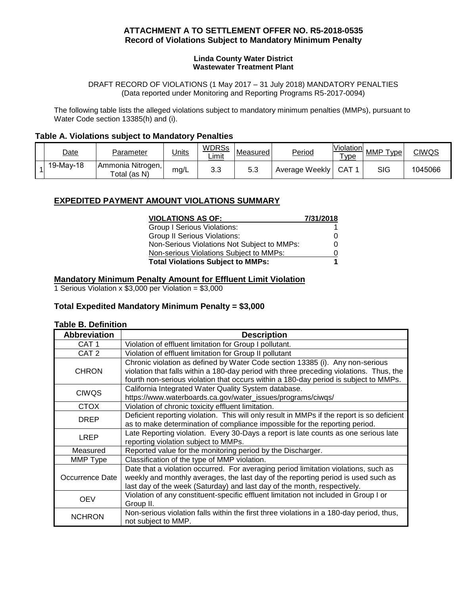### **ATTACHMENT A TO SETTLEMENT OFFER NO. R5-2018-0535 Record of Violations Subject to Mandatory Minimum Penalty**

#### **Linda County Water District Wastewater Treatment Plant**

DRAFT RECORD OF VIOLATIONS (1 May 2017 – 31 July 2018) MANDATORY PENALTIES (Data reported under Monitoring and Reporting Programs R5-2017-0094)

The following table lists the alleged violations subject to mandatory minimum penalties (MMPs), pursuant to Water Code section 13385(h) and (i).

#### **Table A. Violations subject to Mandatory Penalties**

| <u>Date</u> | Parameter                         | <u>Units</u> | <b>WDRSs</b><br>Limit | Measured | <b>Period</b>  | <b>Violation</b><br>vpe | MMP<br>vpe <sup>1</sup> | CIWQS   |
|-------------|-----------------------------------|--------------|-----------------------|----------|----------------|-------------------------|-------------------------|---------|
| 19-May-18   | Ammonia Nitrogen,<br>Total (as N) | mg/L         | າ ເ<br>ს.ს            | 5.3      | Average Weekly | CAT                     | SIG                     | 1045066 |

## **EXPEDITED PAYMENT AMOUNT VIOLATIONS SUMMARY**

| <b>VIOLATIONS AS OF:</b>                    | 7/31/2018 |
|---------------------------------------------|-----------|
| Group I Serious Violations:                 |           |
| <b>Group II Serious Violations:</b>         | O         |
| Non-Serious Violations Not Subject to MMPs: |           |
| Non-serious Violations Subject to MMPs:     |           |
| <b>Total Violations Subject to MMPs:</b>    | 1         |

#### **Mandatory Minimum Penalty Amount for Effluent Limit Violation**

1 Serious Violation x  $$3,000$  per Violation =  $$3,000$ 

#### **Total Expedited Mandatory Minimum Penalty = \$3,000**

#### **Table B. Definition**

| <b>Abbreviation</b> | <b>Description</b>                                                                         |
|---------------------|--------------------------------------------------------------------------------------------|
| CAT <sub>1</sub>    | Violation of effluent limitation for Group I pollutant.                                    |
| CAT <sub>2</sub>    | Violation of effluent limitation for Group II pollutant                                    |
|                     | Chronic violation as defined by Water Code section 13385 (i). Any non-serious              |
| <b>CHRON</b>        | violation that falls within a 180-day period with three preceding violations. Thus, the    |
|                     | fourth non-serious violation that occurs within a 180-day period is subject to MMPs.       |
| <b>CIWQS</b>        | California Integrated Water Quality System database.                                       |
|                     | https://www.waterboards.ca.gov/water_issues/programs/ciwqs/                                |
| <b>CTOX</b>         | Violation of chronic toxicity effluent limitation.                                         |
| <b>DREP</b>         | Deficient reporting violation. This will only result in MMPs if the report is so deficient |
|                     | as to make determination of compliance impossible for the reporting period.                |
| <b>LREP</b>         | Late Reporting violation. Every 30-Days a report is late counts as one serious late        |
|                     | reporting violation subject to MMPs.                                                       |
| Measured            | Reported value for the monitoring period by the Discharger.                                |
| MMP Type            | Classification of the type of MMP violation.                                               |
|                     | Date that a violation occurred. For averaging period limitation violations, such as        |
| Occurrence Date     | weekly and monthly averages, the last day of the reporting period is used such as          |
|                     | last day of the week (Saturday) and last day of the month, respectively.                   |
| <b>OEV</b>          | Violation of any constituent-specific effluent limitation not included in Group I or       |
|                     | Group II.                                                                                  |
| <b>NCHRON</b>       | Non-serious violation falls within the first three violations in a 180-day period, thus,   |
|                     | not subject to MMP.                                                                        |